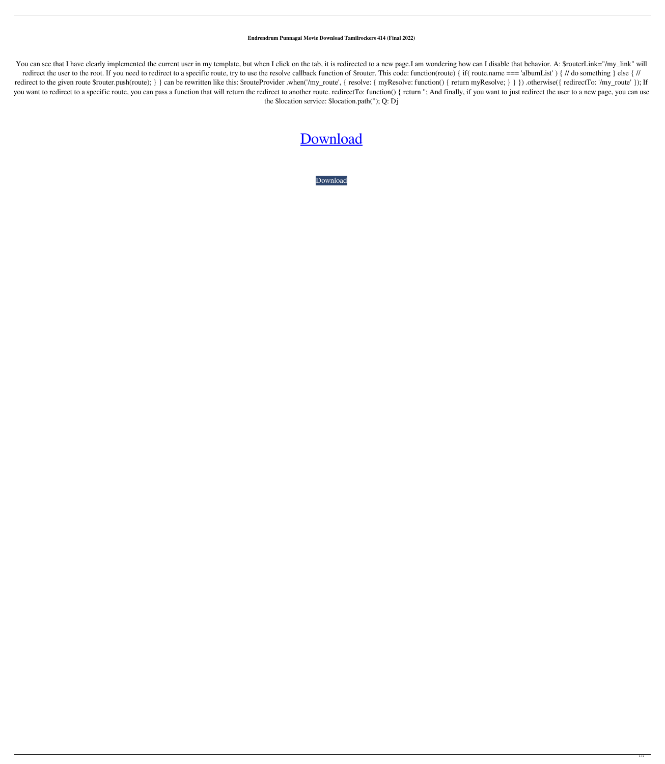## **Endrendrum Punnagai Movie Download Tamilrockers 414 (Final 2022)**

You can see that I have clearly implemented the current user in my template, but when I click on the tab, it is redirected to a new page.I am wondering how can I disable that behavior. A: \$routerLink="/my\_link" will redirect the user to the root. If you need to redirect to a specific route, try to use the resolve callback function of \$router. This code: function(route) { if( route.name == 'albumList' ) { // do something } else { // redirect to the given route \$router.push(route); } } can be rewritten like this: \$routeProvider .when('/my\_route', { resolve: { myResolve: function() { return myResolve; } } }) .otherwise({ redirectTo: '/my\_route' }); If you want to redirect to a specific route, you can pass a function that will return the redirect to another route. redirectTo: function() { return "; And finally, if you want to just redirect the user to a new page, you can the \$location service: \$location.path(''); Q: Dj

## [Download](http://evacdir.com/bracelts/morning/ZG93bmxvYWR8RWQwTW1wNWEzeDhNVFkxTWpRMk16QTFNSHg4TWpVM05IeDhLRTBwSUhKbFlXUXRZbXh2WnlCYlJtRnpkQ0JIUlU1ZA/chocolate.smartwork?quietly=robust.texturization.ZW5kcmVuZHJ1bSBwdW5uYWdhaSBtb3ZpZSBkb3dubG9hZCB0YW1pbHJvY2tlcnMgNDE0ZW5)

[Download](http://evacdir.com/bracelts/morning/ZG93bmxvYWR8RWQwTW1wNWEzeDhNVFkxTWpRMk16QTFNSHg4TWpVM05IeDhLRTBwSUhKbFlXUXRZbXh2WnlCYlJtRnpkQ0JIUlU1ZA/chocolate.smartwork?quietly=robust.texturization.ZW5kcmVuZHJ1bSBwdW5uYWdhaSBtb3ZpZSBkb3dubG9hZCB0YW1pbHJvY2tlcnMgNDE0ZW5)